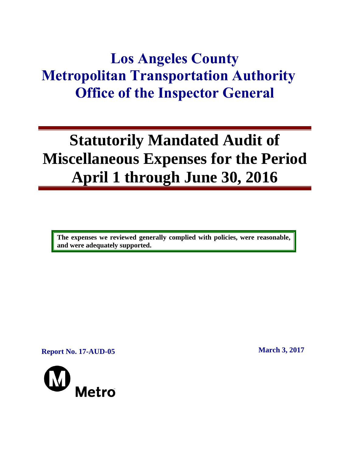## **Los Angeles County Metropolitan Transportation Authority Office of the Inspector General**

# **Statutorily Mandated Audit of Miscellaneous Expenses for the Period April 1 through June 30, 2016**

**The expenses we reviewed generally complied with policies, were reasonable, and were adequately supported.** 

**Report No. 17-AUD-05 March 3, 2017**

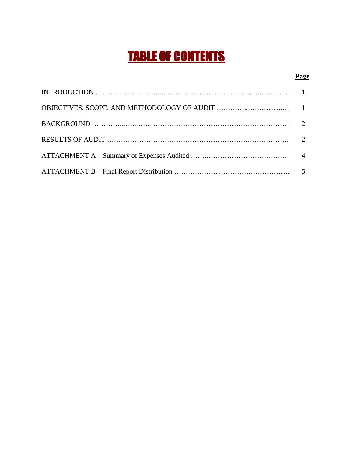## TABLE OF CONTENTS

#### **Page**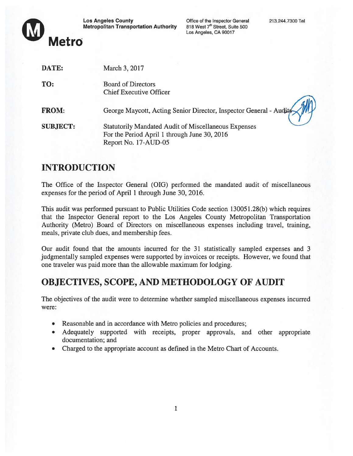

® Los Angeles County Office of the Inspector General 213.244.7300 Tel Metropolitan Transportation Authority 818 West 7<sup>th</sup> Street, Suite 500

Los Angeles, CA 90017

| DATE:           | March 3, 2017                                                                                                                       |
|-----------------|-------------------------------------------------------------------------------------------------------------------------------------|
| TO:             | <b>Board of Directors</b><br><b>Chief Executive Officer</b>                                                                         |
| <b>FROM:</b>    | George Maycott, Acting Senior Director, Inspector General - Audits                                                                  |
| <b>SUBJECT:</b> | <b>Statutorily Mandated Audit of Miscellaneous Expenses</b><br>For the Period April 1 through June 30, 2016<br>Report No. 17-AUD-05 |
|                 |                                                                                                                                     |

### INTRODUCTION

The Office of the Inspector General (OIG) performed the mandated audit of miscellaneous expenses for the period of April 1 through June 30, 2016.

This audit was performed pursuan<sup>t</sup> to Public Utilities Code section 13005 1.28(b) which requires that the Inspector General repor<sup>t</sup> to the Los Angeles County Metropolitan Transportation Authority (Metro) Board of Directors on miscellaneous expenses including travel, training, meals, private club dues, and membership fees.

Our audit found that the amounts incurred for the 31 statistically sampled expenses and 3 judgmentally sampled expenses were supported by invoices or receipts. However, we found that one traveler was paid more than the allowable maximum for lodging.

## OBJECTIVES, SCOPE, AND METHODOLOGY OF AUDIT

The objectives of the audit were to determine whether sampled miscellaneous expenses incurred were:

- Reasonable and in accordance with Metro policies and procedures;
- Adequately supported with receipts, proper approvals, and other appropriate documentation; and
- Charged to the appropriate account as defined in the Metro Chart of Accounts.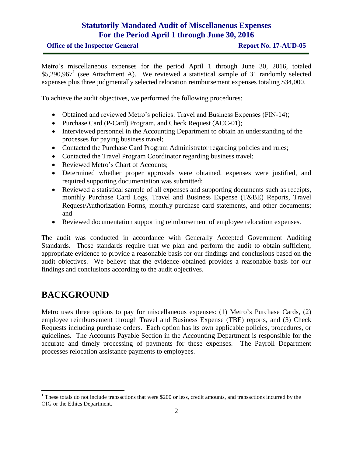#### **Statutorily Mandated Audit of Miscellaneous Expenses For the Period April 1 through June 30, 2016**

Metro's miscellaneous expenses for the period April 1 through June 30, 2016, totaled \$5,290,967<sup>1</sup> (see Attachment A). We reviewed a statistical sample of 31 randomly selected expenses plus three judgmentally selected relocation reimbursement expenses totaling \$34,000.

To achieve the audit objectives, we performed the following procedures:

- Obtained and reviewed Metro's policies: Travel and Business Expenses (FIN-14);
- Purchase Card (P-Card) Program, and Check Request (ACC-01);
- Interviewed personnel in the Accounting Department to obtain an understanding of the processes for paying business travel;
- Contacted the Purchase Card Program Administrator regarding policies and rules;
- Contacted the Travel Program Coordinator regarding business travel;
- Reviewed Metro's Chart of Accounts;
- Determined whether proper approvals were obtained, expenses were justified, and required supporting documentation was submitted;
- Reviewed a statistical sample of all expenses and supporting documents such as receipts, monthly Purchase Card Logs, Travel and Business Expense (T&BE) Reports, Travel Request/Authorization Forms, monthly purchase card statements, and other documents; and
- Reviewed documentation supporting reimbursement of employee relocation expenses.

The audit was conducted in accordance with Generally Accepted Government Auditing Standards. Those standards require that we plan and perform the audit to obtain sufficient, appropriate evidence to provide a reasonable basis for our findings and conclusions based on the audit objectives. We believe that the evidence obtained provides a reasonable basis for our findings and conclusions according to the audit objectives.

### **BACKGROUND**

 $\overline{a}$ 

Metro uses three options to pay for miscellaneous expenses: (1) Metro's Purchase Cards, (2) employee reimbursement through Travel and Business Expense (TBE) reports, and (3) Check Requests including purchase orders. Each option has its own applicable policies, procedures, or guidelines. The Accounts Payable Section in the Accounting Department is responsible for the accurate and timely processing of payments for these expenses. The Payroll Department processes relocation assistance payments to employees.

<sup>&</sup>lt;sup>1</sup> These totals do not include transactions that were \$200 or less, credit amounts, and transactions incurred by the OIG or the Ethics Department.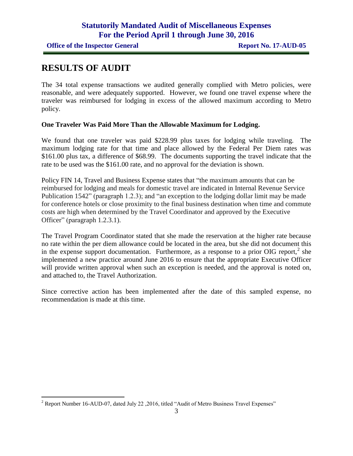#### **RESULTS OF AUDIT**

 $\overline{a}$ 

The 34 total expense transactions we audited generally complied with Metro policies, were reasonable, and were adequately supported. However, we found one travel expense where the traveler was reimbursed for lodging in excess of the allowed maximum according to Metro policy.

#### **One Traveler Was Paid More Than the Allowable Maximum for Lodging.**

We found that one traveler was paid \$228.99 plus taxes for lodging while traveling. The maximum lodging rate for that time and place allowed by the Federal Per Diem rates was \$161.00 plus tax, a difference of \$68.99. The documents supporting the travel indicate that the rate to be used was the \$161.00 rate, and no approval for the deviation is shown.

Policy FIN 14, Travel and Business Expense states that "the maximum amounts that can be reimbursed for lodging and meals for domestic travel are indicated in Internal Revenue Service Publication 1542" (paragraph 1.2.3); and "an exception to the lodging dollar limit may be made for conference hotels or close proximity to the final business destination when time and commute costs are high when determined by the Travel Coordinator and approved by the Executive Officer" (paragraph 1.2.3.1).

The Travel Program Coordinator stated that she made the reservation at the higher rate because no rate within the per diem allowance could be located in the area, but she did not document this in the expense support documentation. Furthermore, as a response to a prior OIG report,  $2$  she implemented a new practice around June 2016 to ensure that the appropriate Executive Officer will provide written approval when such an exception is needed, and the approval is noted on, and attached to, the Travel Authorization.

Since corrective action has been implemented after the date of this sampled expense, no recommendation is made at this time.

<sup>&</sup>lt;sup>2</sup> Report Number 16-AUD-07, dated July 22, 2016, titled "Audit of Metro Business Travel Expenses"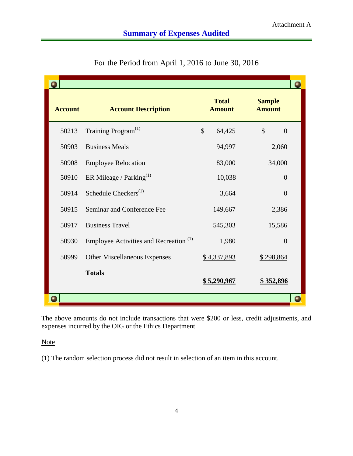| <b>Account</b> | <b>Account Description</b>                        | <b>Total</b><br><b>Amount</b> | <b>Sample</b><br><b>Amount</b>  |  |
|----------------|---------------------------------------------------|-------------------------------|---------------------------------|--|
| 50213          | Training Program <sup>(1)</sup>                   | $\mathcal{S}$<br>64,425       | $\mathcal{S}$<br>$\overline{0}$ |  |
| 50903          | <b>Business Meals</b>                             | 94,997                        | 2,060                           |  |
| 50908          | <b>Employee Relocation</b>                        | 83,000                        | 34,000                          |  |
| 50910          | ER Mileage / Parking $^{(1)}$                     | 10,038                        | $\theta$                        |  |
| 50914          | Schedule Checkers <sup>(1)</sup>                  | 3,664                         | $\overline{0}$                  |  |
| 50915          | Seminar and Conference Fee                        | 149,667                       | 2,386                           |  |
| 50917          | <b>Business Travel</b>                            | 545,303                       | 15,586                          |  |
| 50930          | Employee Activities and Recreation <sup>(1)</sup> | 1,980                         | $\overline{0}$                  |  |
| 50999          | <b>Other Miscellaneous Expenses</b>               | \$4,337,893                   | \$298,864                       |  |
|                | <b>Totals</b>                                     | <u>\$5,290,967</u>            | \$352,896                       |  |
|                |                                                   |                               |                                 |  |

| For the Period from April 1, 2016 to June 30, 2016 |  |
|----------------------------------------------------|--|
|----------------------------------------------------|--|

The above amounts do not include transactions that were \$200 or less, credit adjustments, and expenses incurred by the OIG or the Ethics Department.

**Note** 

(1) The random selection process did not result in selection of an item in this account.